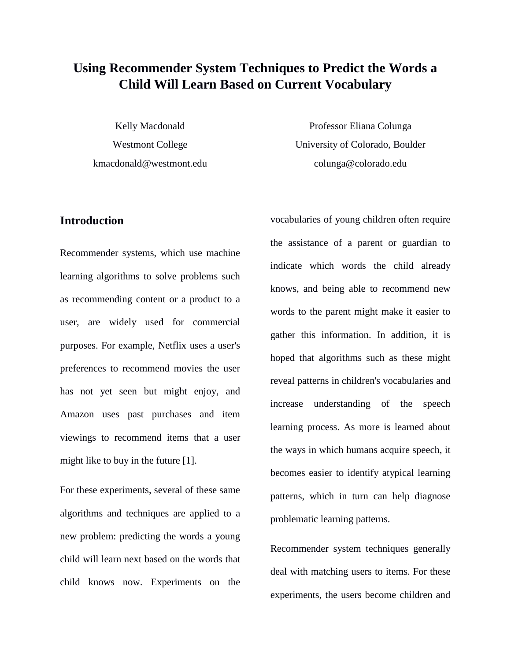# **Using Recommender System Techniques to Predict the Words a Child Will Learn Based on Current Vocabulary**

Kelly Macdonald Westmont College kmacdonald@westmont.edu

Professor Eliana Colunga University of Colorado, Boulder colunga@colorado.edu

# **Introduction**

Recommender systems, which use machine learning algorithms to solve problems such as recommending content or a product to a user, are widely used for commercial purposes. For example, Netflix uses a user's preferences to recommend movies the user has not yet seen but might enjoy, and Amazon uses past purchases and item viewings to recommend items that a user might like to buy in the future [1].

For these experiments, several of these same algorithms and techniques are applied to a new problem: predicting the words a young child will learn next based on the words that child knows now. Experiments on the

vocabularies of young children often require the assistance of a parent or guardian to indicate which words the child already knows, and being able to recommend new words to the parent might make it easier to gather this information. In addition, it is hoped that algorithms such as these might reveal patterns in children's vocabularies and increase understanding of the speech learning process. As more is learned about the ways in which humans acquire speech, it becomes easier to identify atypical learning patterns, which in turn can help diagnose problematic learning patterns.

Recommender system techniques generally deal with matching users to items. For these experiments, the users become children and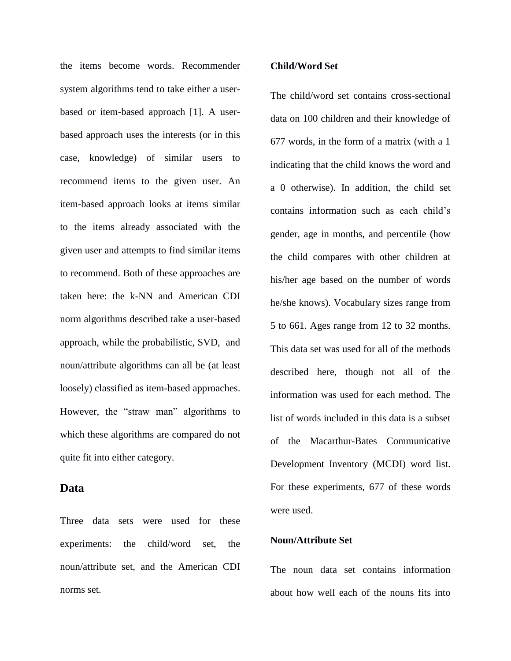the items become words. Recommender system algorithms tend to take either a userbased or item-based approach [1]. A userbased approach uses the interests (or in this case, knowledge) of similar users to recommend items to the given user. An item-based approach looks at items similar to the items already associated with the given user and attempts to find similar items to recommend. Both of these approaches are taken here: the k-NN and American CDI norm algorithms described take a user-based approach, while the probabilistic, SVD, and noun/attribute algorithms can all be (at least loosely) classified as item-based approaches. However, the "straw man" algorithms to which these algorithms are compared do not quite fit into either category.

### **Data**

Three data sets were used for these experiments: the child/word set, the noun/attribute set, and the American CDI norms set.

#### **Child/Word Set**

The child/word set contains cross-sectional data on 100 children and their knowledge of 677 words, in the form of a matrix (with a 1 indicating that the child knows the word and a 0 otherwise). In addition, the child set contains information such as each child's gender, age in months, and percentile (how the child compares with other children at his/her age based on the number of words he/she knows). Vocabulary sizes range from 5 to 661. Ages range from 12 to 32 months. This data set was used for all of the methods described here, though not all of the information was used for each method. The list of words included in this data is a subset of the Macarthur-Bates Communicative Development Inventory (MCDI) word list. For these experiments, 677 of these words were used.

#### **Noun/Attribute Set**

The noun data set contains information about how well each of the nouns fits into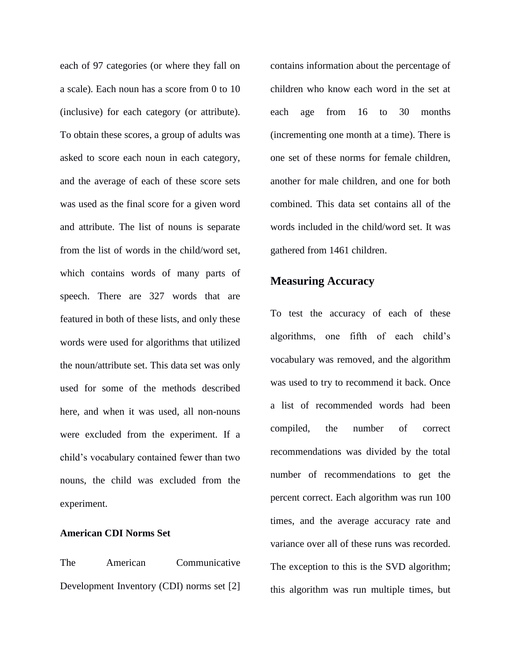each of 97 categories (or where they fall on a scale). Each noun has a score from 0 to 10 (inclusive) for each category (or attribute). To obtain these scores, a group of adults was asked to score each noun in each category, and the average of each of these score sets was used as the final score for a given word and attribute. The list of nouns is separate from the list of words in the child/word set, which contains words of many parts of speech. There are 327 words that are featured in both of these lists, and only these words were used for algorithms that utilized the noun/attribute set. This data set was only used for some of the methods described here, and when it was used, all non-nouns were excluded from the experiment. If a child's vocabulary contained fewer than two nouns, the child was excluded from the experiment.

#### **American CDI Norms Set**

The American Communicative Development Inventory (CDI) norms set [2] contains information about the percentage of children who know each word in the set at each age from 16 to 30 months (incrementing one month at a time). There is one set of these norms for female children, another for male children, and one for both combined. This data set contains all of the words included in the child/word set. It was gathered from 1461 children.

#### **Measuring Accuracy**

To test the accuracy of each of these algorithms, one fifth of each child's vocabulary was removed, and the algorithm was used to try to recommend it back. Once a list of recommended words had been compiled, the number of correct recommendations was divided by the total number of recommendations to get the percent correct. Each algorithm was run 100 times, and the average accuracy rate and variance over all of these runs was recorded. The exception to this is the SVD algorithm; this algorithm was run multiple times, but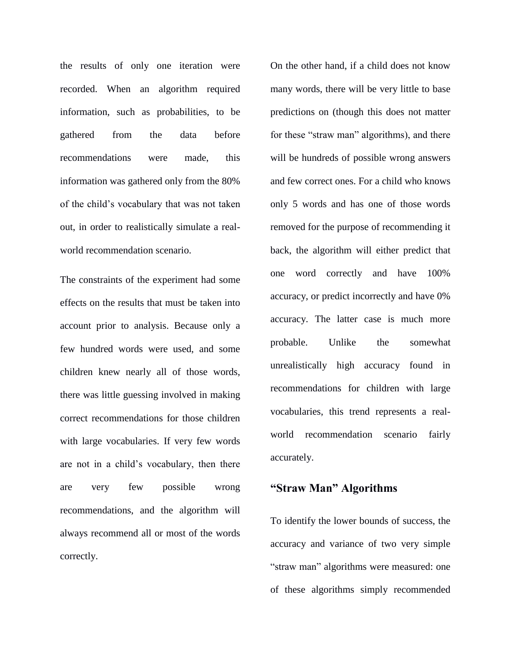the results of only one iteration were recorded. When an algorithm required information, such as probabilities, to be gathered from the data before recommendations were made, this information was gathered only from the 80% of the child's vocabulary that was not taken out, in order to realistically simulate a realworld recommendation scenario.

The constraints of the experiment had some effects on the results that must be taken into account prior to analysis. Because only a few hundred words were used, and some children knew nearly all of those words, there was little guessing involved in making correct recommendations for those children with large vocabularies. If very few words are not in a child's vocabulary, then there are very few possible wrong recommendations, and the algorithm will always recommend all or most of the words correctly.

On the other hand, if a child does not know many words, there will be very little to base predictions on (though this does not matter for these "straw man" algorithms), and there will be hundreds of possible wrong answers and few correct ones. For a child who knows only 5 words and has one of those words removed for the purpose of recommending it back, the algorithm will either predict that one word correctly and have 100% accuracy, or predict incorrectly and have 0% accuracy. The latter case is much more probable. Unlike the somewhat unrealistically high accuracy found in recommendations for children with large vocabularies, this trend represents a realworld recommendation scenario fairly accurately.

# **"Straw Man" Algorithms**

To identify the lower bounds of success, the accuracy and variance of two very simple "straw man" algorithms were measured: one of these algorithms simply recommended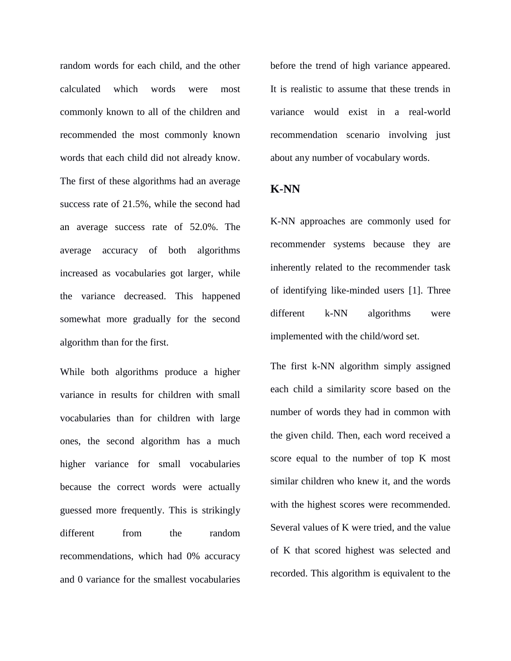random words for each child, and the other calculated which words were most commonly known to all of the children and recommended the most commonly known words that each child did not already know. The first of these algorithms had an average success rate of 21.5%, while the second had an average success rate of 52.0%. The average accuracy of both algorithms increased as vocabularies got larger, while the variance decreased. This happened somewhat more gradually for the second algorithm than for the first.

While both algorithms produce a higher variance in results for children with small vocabularies than for children with large ones, the second algorithm has a much higher variance for small vocabularies because the correct words were actually guessed more frequently. This is strikingly different from the random recommendations, which had 0% accuracy and 0 variance for the smallest vocabularies

before the trend of high variance appeared. It is realistic to assume that these trends in variance would exist in a real-world recommendation scenario involving just about any number of vocabulary words.

### **K-NN**

K-NN approaches are commonly used for recommender systems because they are inherently related to the recommender task of identifying like-minded users [1]. Three different k-NN algorithms were implemented with the child/word set.

The first k-NN algorithm simply assigned each child a similarity score based on the number of words they had in common with the given child. Then, each word received a score equal to the number of top K most similar children who knew it, and the words with the highest scores were recommended. Several values of K were tried, and the value of K that scored highest was selected and recorded. This algorithm is equivalent to the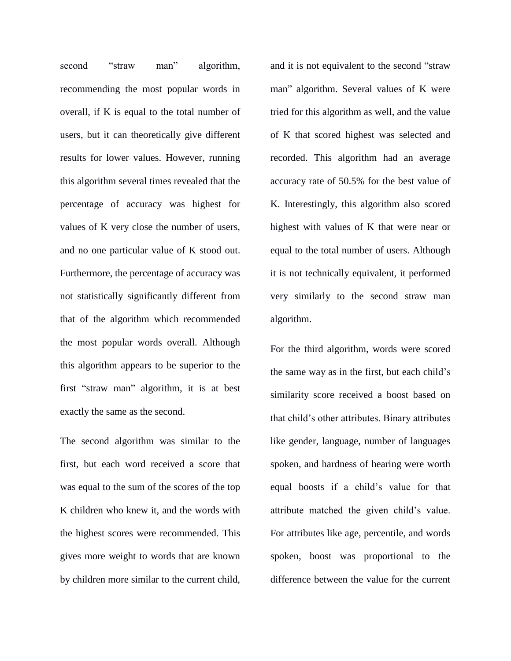second "straw man" algorithm, recommending the most popular words in overall, if K is equal to the total number of users, but it can theoretically give different results for lower values. However, running this algorithm several times revealed that the percentage of accuracy was highest for values of K very close the number of users, and no one particular value of K stood out. Furthermore, the percentage of accuracy was not statistically significantly different from that of the algorithm which recommended the most popular words overall. Although this algorithm appears to be superior to the first "straw man" algorithm, it is at best exactly the same as the second.

The second algorithm was similar to the first, but each word received a score that was equal to the sum of the scores of the top K children who knew it, and the words with the highest scores were recommended. This gives more weight to words that are known by children more similar to the current child,

and it is not equivalent to the second "straw man" algorithm. Several values of K were tried for this algorithm as well, and the value of K that scored highest was selected and recorded. This algorithm had an average accuracy rate of 50.5% for the best value of K. Interestingly, this algorithm also scored highest with values of K that were near or equal to the total number of users. Although it is not technically equivalent, it performed very similarly to the second straw man algorithm.

For the third algorithm, words were scored the same way as in the first, but each child's similarity score received a boost based on that child's other attributes. Binary attributes like gender, language, number of languages spoken, and hardness of hearing were worth equal boosts if a child's value for that attribute matched the given child's value. For attributes like age, percentile, and words spoken, boost was proportional to the difference between the value for the current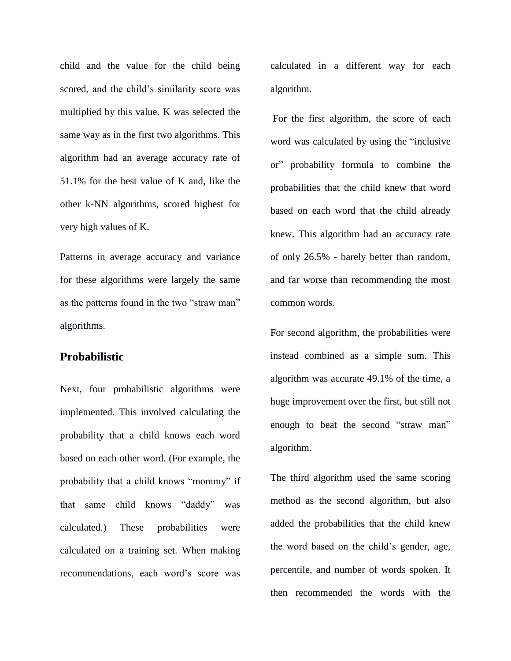child and the value for the child being scored, and the child's similarity score was multiplied by this value. K was selected the same way as in the first two algorithms. This algorithm had an average accuracy rate of 51.1% for the best value of K and, like the other k-NN algorithms, scored highest for very high values of K.

Patterns in average accuracy and variance for these algorithms were largely the same as the patterns found in the two "straw man" algorithms.

## **Probabilistic**

Next, four probabilistic algorithms were implemented. This involved calculating the probability that a child knows each word based on each other word. (For example, the probability that a child knows "mommy" if that same child knows "daddy" was calculated.) These probabilities were calculated on a training set. When making recommendations, each word's score was

calculated in a different way for each algorithm.

For the first algorithm, the score of each word was calculated by using the "inclusive or" probability formula to combine the probabilities that the child knew that word based on each word that the child already knew. This algorithm had an accuracy rate of only 26.5% - barely better than random, and far worse than recommending the most common words.

For second algorithm, the probabilities were instead combined as a simple sum. This algorithm was accurate 49.1% of the time, a huge improvement over the first, but still not enough to beat the second "straw man" algorithm.

The third algorithm used the same scoring method as the second algorithm, but also added the probabilities that the child knew the word based on the child's gender, age, percentile, and number of words spoken. It then recommended the words with the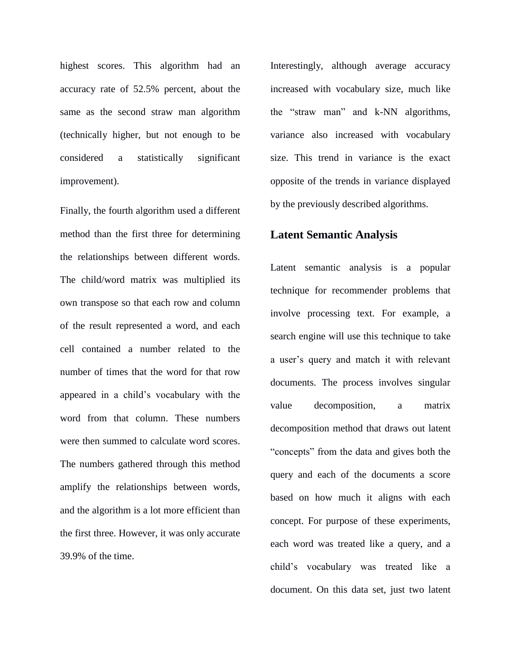highest scores. This algorithm had an accuracy rate of 52.5% percent, about the same as the second straw man algorithm (technically higher, but not enough to be considered a statistically significant improvement).

Finally, the fourth algorithm used a different method than the first three for determining the relationships between different words. The child/word matrix was multiplied its own transpose so that each row and column of the result represented a word, and each cell contained a number related to the number of times that the word for that row appeared in a child's vocabulary with the word from that column. These numbers were then summed to calculate word scores. The numbers gathered through this method amplify the relationships between words, and the algorithm is a lot more efficient than the first three. However, it was only accurate 39.9% of the time.

Interestingly, although average accuracy increased with vocabulary size, much like the "straw man" and k-NN algorithms, variance also increased with vocabulary size. This trend in variance is the exact opposite of the trends in variance displayed by the previously described algorithms.

#### **Latent Semantic Analysis**

Latent semantic analysis is a popular technique for recommender problems that involve processing text. For example, a search engine will use this technique to take a user's query and match it with relevant documents. The process involves singular value decomposition, a matrix decomposition method that draws out latent "concepts" from the data and gives both the query and each of the documents a score based on how much it aligns with each concept. For purpose of these experiments, each word was treated like a query, and a child's vocabulary was treated like a document. On this data set, just two latent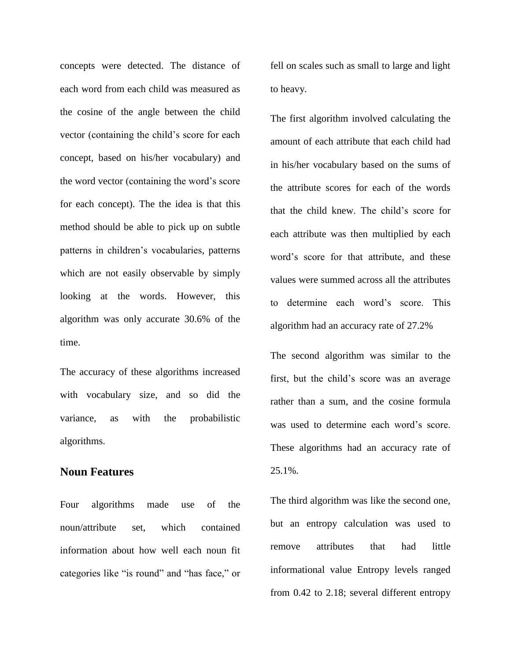concepts were detected. The distance of each word from each child was measured as the cosine of the angle between the child vector (containing the child's score for each concept, based on his/her vocabulary) and the word vector (containing the word's score for each concept). The the idea is that this method should be able to pick up on subtle patterns in children's vocabularies, patterns which are not easily observable by simply looking at the words. However, this algorithm was only accurate 30.6% of the time.

The accuracy of these algorithms increased with vocabulary size, and so did the variance, as with the probabilistic algorithms.

#### **Noun Features**

Four algorithms made use of the noun/attribute set, which contained information about how well each noun fit categories like "is round" and "has face," or

fell on scales such as small to large and light to heavy.

The first algorithm involved calculating the amount of each attribute that each child had in his/her vocabulary based on the sums of the attribute scores for each of the words that the child knew. The child's score for each attribute was then multiplied by each word's score for that attribute, and these values were summed across all the attributes to determine each word's score. This algorithm had an accuracy rate of 27.2%

The second algorithm was similar to the first, but the child's score was an average rather than a sum, and the cosine formula was used to determine each word's score. These algorithms had an accuracy rate of 25.1%.

The third algorithm was like the second one, but an entropy calculation was used to remove attributes that had little informational value Entropy levels ranged from 0.42 to 2.18; several different entropy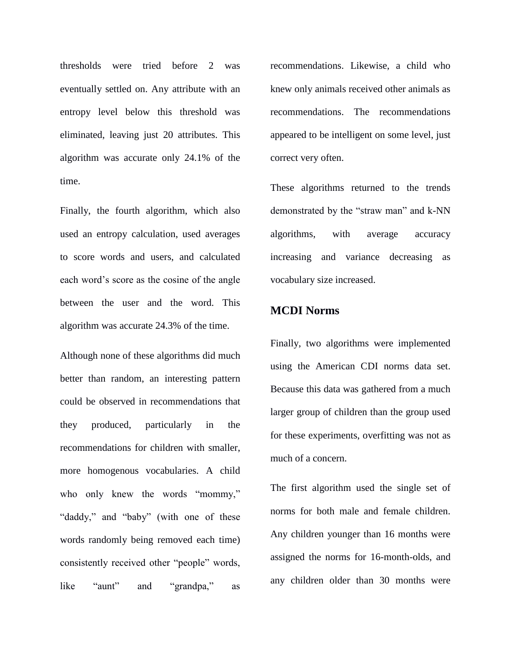thresholds were tried before 2 was eventually settled on. Any attribute with an entropy level below this threshold was eliminated, leaving just 20 attributes. This algorithm was accurate only 24.1% of the time.

Finally, the fourth algorithm, which also used an entropy calculation, used averages to score words and users, and calculated each word's score as the cosine of the angle between the user and the word. This algorithm was accurate 24.3% of the time.

Although none of these algorithms did much better than random, an interesting pattern could be observed in recommendations that they produced, particularly in the recommendations for children with smaller, more homogenous vocabularies. A child who only knew the words "mommy," "daddy," and "baby" (with one of these words randomly being removed each time) consistently received other "people" words, like "aunt" and "grandpa," as

recommendations. Likewise, a child who knew only animals received other animals as recommendations. The recommendations appeared to be intelligent on some level, just correct very often.

These algorithms returned to the trends demonstrated by the "straw man" and k-NN algorithms, with average accuracy increasing and variance decreasing as vocabulary size increased.

# **MCDI Norms**

Finally, two algorithms were implemented using the American CDI norms data set. Because this data was gathered from a much larger group of children than the group used for these experiments, overfitting was not as much of a concern.

The first algorithm used the single set of norms for both male and female children. Any children younger than 16 months were assigned the norms for 16-month-olds, and any children older than 30 months were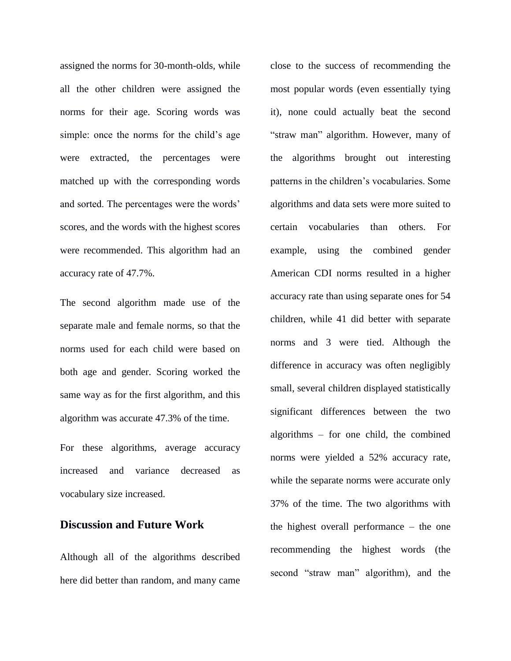assigned the norms for 30-month-olds, while all the other children were assigned the norms for their age. Scoring words was simple: once the norms for the child's age were extracted, the percentages were matched up with the corresponding words and sorted. The percentages were the words' scores, and the words with the highest scores were recommended. This algorithm had an accuracy rate of 47.7%.

The second algorithm made use of the separate male and female norms, so that the norms used for each child were based on both age and gender. Scoring worked the same way as for the first algorithm, and this algorithm was accurate 47.3% of the time.

For these algorithms, average accuracy increased and variance decreased as vocabulary size increased.

# **Discussion and Future Work**

Although all of the algorithms described here did better than random, and many came

close to the success of recommending the most popular words (even essentially tying it), none could actually beat the second "straw man" algorithm. However, many of the algorithms brought out interesting patterns in the children's vocabularies. Some algorithms and data sets were more suited to certain vocabularies than others. For example, using the combined gender American CDI norms resulted in a higher accuracy rate than using separate ones for 54 children, while 41 did better with separate norms and 3 were tied. Although the difference in accuracy was often negligibly small, several children displayed statistically significant differences between the two algorithms – for one child, the combined norms were yielded a 52% accuracy rate, while the separate norms were accurate only 37% of the time. The two algorithms with the highest overall performance – the one recommending the highest words (the second "straw man" algorithm), and the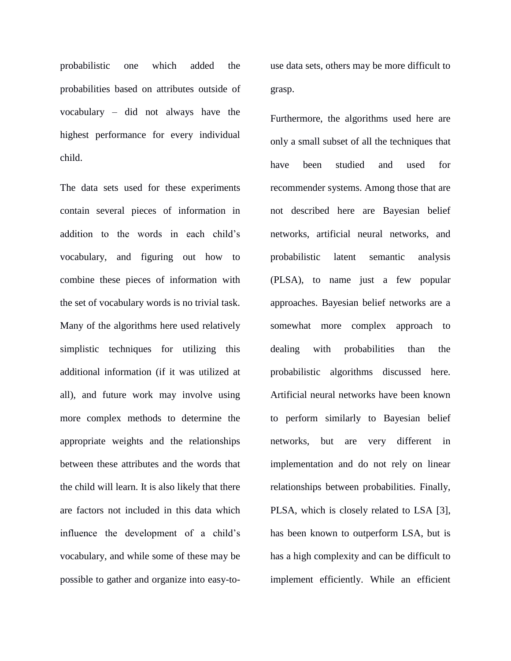probabilistic one which added the probabilities based on attributes outside of vocabulary – did not always have the highest performance for every individual child.

The data sets used for these experiments contain several pieces of information in addition to the words in each child's vocabulary, and figuring out how to combine these pieces of information with the set of vocabulary words is no trivial task. Many of the algorithms here used relatively simplistic techniques for utilizing this additional information (if it was utilized at all), and future work may involve using more complex methods to determine the appropriate weights and the relationships between these attributes and the words that the child will learn. It is also likely that there are factors not included in this data which influence the development of a child's vocabulary, and while some of these may be possible to gather and organize into easy-touse data sets, others may be more difficult to grasp.

Furthermore, the algorithms used here are only a small subset of all the techniques that have been studied and used for recommender systems. Among those that are not described here are Bayesian belief networks, artificial neural networks, and probabilistic latent semantic analysis (PLSA), to name just a few popular approaches. Bayesian belief networks are a somewhat more complex approach to dealing with probabilities than the probabilistic algorithms discussed here. Artificial neural networks have been known to perform similarly to Bayesian belief networks, but are very different in implementation and do not rely on linear relationships between probabilities. Finally, PLSA, which is closely related to LSA [3], has been known to outperform LSA, but is has a high complexity and can be difficult to implement efficiently. While an efficient